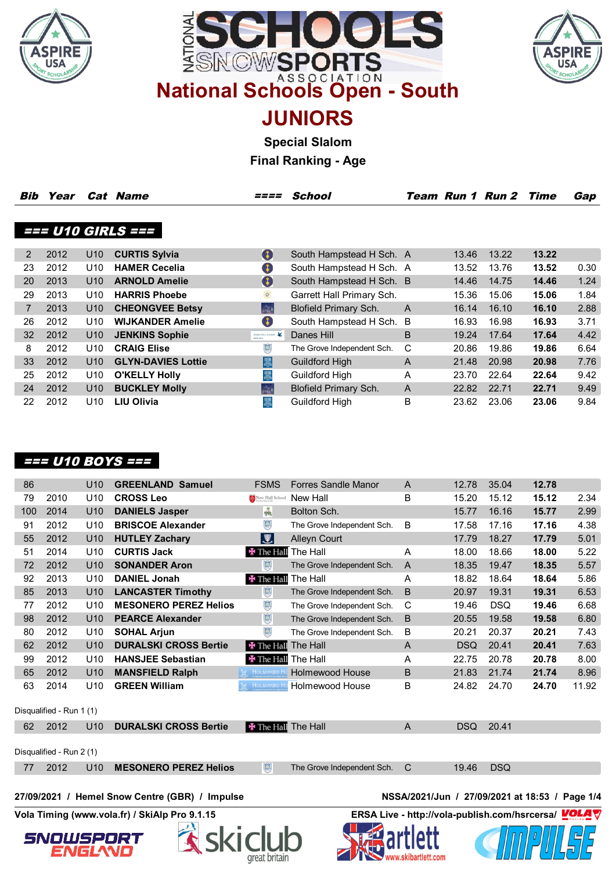





**JUNIORS**

**Special Slalom**

**Final Ranking - Age**

| Bib | Year |                 | Cat Name                  | ====                                       | <b>School</b>                |                |       | <b>Team Run 1 Run 2 Time</b> |       | Gap  |
|-----|------|-----------------|---------------------------|--------------------------------------------|------------------------------|----------------|-------|------------------------------|-------|------|
|     |      |                 |                           |                                            |                              |                |       |                              |       |      |
|     |      |                 | === U10 GIRLS ===         |                                            |                              |                |       |                              |       |      |
|     |      |                 |                           |                                            |                              |                |       |                              |       |      |
| 2   | 2012 | U <sub>10</sub> | <b>CURTIS Sylvia</b>      | $\bullet$                                  | South Hampstead H Sch. A     |                | 13.46 | 13.22                        | 13.22 |      |
| 23  | 2012 | U <sub>10</sub> | <b>HAMER Cecelia</b>      | 49                                         | South Hampstead H Sch. A     |                | 13.52 | 13.76                        | 13.52 | 0.30 |
| 20  | 2013 | U <sub>10</sub> | <b>ARNOLD Amelie</b>      | $\bullet$                                  | South Hampstead H Sch. B     |                | 14.46 | 14.75                        | 14.46 | 1.24 |
| 29  | 2013 | U10             | <b>HARRIS Phoebe</b>      | €                                          | Garrett Hall Primary Sch.    |                | 15.36 | 15.06                        | 15.06 | 1.84 |
|     | 2013 | U10             | <b>CHEONGVEE Betsy</b>    | $\frac{1}{4}\sum_{i=1}^K \hat{\mathbf{h}}$ | <b>Blofield Primary Sch.</b> | $\overline{A}$ | 16.14 | 16.10                        | 16.10 | 2.88 |
| 26  | 2012 | U10             | <b>WIJKANDER Amelie</b>   | $\bullet$                                  | South Hampstead H Sch. B     |                | 16.93 | 16.98                        | 16.93 | 3.71 |
| 32  | 2012 | U <sub>10</sub> | <b>JENKINS Sophie</b>     | DANES HILL SCHOOL<br><b>Outlet, Syner</b>  | Danes Hill                   | B              | 19.24 | 17.64                        | 17.64 | 4.42 |
| 8   | 2012 | U10             | <b>CRAIG Elise</b>        | $\mathbb{R}$                               | The Grove Independent Sch.   | С              | 20.86 | 19.86                        | 19.86 | 6.64 |
| 33  | 2012 | U <sub>10</sub> | <b>GLYN-DAVIES Lottie</b> | 圜                                          | <b>Guildford High</b>        | A              | 21.48 | 20.98                        | 20.98 | 7.76 |
| 25  | 2012 | U10             | <b>O'KELLY Holly</b>      | 圜                                          | Guildford High               | A              | 23.70 | 22.64                        | 22.64 | 9.42 |
| 24  | 2012 | U <sub>10</sub> | <b>BUCKLEY Molly</b>      | $\frac{1}{\ln\log\theta}$                  | <b>Blofield Primary Sch.</b> | A              | 22.82 | 22.71                        | 22.71 | 9.49 |
| 22  | 2012 | U10             | <b>LIU Olivia</b>         | 愚                                          | Guildford High               | B              | 23.62 | 23.06                        | 23.06 | 9.84 |
|     |      |                 |                           |                                            |                              |                |       |                              |       |      |

# **=== U10 BOYS ===**

| 86  |                          | U10             | <b>GREENLAND Samuel</b>                        | <b>FSMS</b>                | <b>Forres Sandle Manor</b> | A                                                   | 12.78      | 35.04      | 12.78 |       |
|-----|--------------------------|-----------------|------------------------------------------------|----------------------------|----------------------------|-----------------------------------------------------|------------|------------|-------|-------|
| 79  | 2010                     | U <sub>10</sub> | <b>CROSS Leo</b>                               | New Hall School            | New Hall                   | B                                                   | 15.20      | 15.12      | 15.12 | 2.34  |
| 100 | 2014                     | U10             | <b>DANIELS Jasper</b>                          | PRIS                       | Bolton Sch.                |                                                     | 15.77      | 16.16      | 15.77 | 2.99  |
| 91  | 2012                     | U <sub>10</sub> | <b>BRISCOE Alexander</b>                       | $\bigoplus$                | The Grove Independent Sch. | B                                                   | 17.58      | 17.16      | 17.16 | 4.38  |
| 55  | 2012                     | U10             | <b>HUTLEY Zachary</b>                          | $ \mathbf{y} $             | <b>Alleyn Court</b>        |                                                     | 17.79      | 18.27      | 17.79 | 5.01  |
| 51  | 2014                     | U <sub>10</sub> | <b>CURTIS Jack</b>                             | <b>E</b> The Hall          | The Hall                   | A                                                   | 18.00      | 18.66      | 18.00 | 5.22  |
| 72  | 2012                     | U10             | <b>SONANDER Aron</b>                           | $\mathbb{G}$               | The Grove Independent Sch. | $\overline{A}$                                      | 18.35      | 19.47      | 18.35 | 5.57  |
| 92  | 2013                     | U <sub>10</sub> | <b>DANIEL Jonah</b>                            | <b>E</b> The Hall          | The Hall                   | A                                                   | 18.82      | 18.64      | 18.64 | 5.86  |
| 85  | 2013                     | U <sub>10</sub> | <b>LANCASTER Timothy</b>                       | $\bigcirc$                 | The Grove Independent Sch. | B                                                   | 20.97      | 19.31      | 19.31 | 6.53  |
| 77  | 2012                     | U <sub>10</sub> | <b>MESONERO PEREZ Helios</b>                   | $\bigoplus$                | The Grove Independent Sch. | $\mathsf{C}$                                        | 19.46      | <b>DSQ</b> | 19.46 | 6.68  |
| 98  | 2012                     | U <sub>10</sub> | <b>PEARCE Alexander</b>                        | $\bigcirc$                 | The Grove Independent Sch. | B                                                   | 20.55      | 19.58      | 19.58 | 6.80  |
| 80  | 2012                     | U <sub>10</sub> | <b>SOHAL Arjun</b>                             | $\bigcirc$                 | The Grove Independent Sch. | B                                                   | 20.21      | 20.37      | 20.21 | 7.43  |
| 62  | 2012                     | U10             | <b>DURALSKI CROSS Bertie</b>                   | <b>E</b> The Hall          | The Hall                   | A                                                   | <b>DSQ</b> | 20.41      | 20.41 | 7.63  |
| 99  | 2012                     | U <sub>10</sub> | <b>HANSJEE Sebastian</b>                       | <b>*</b> The Hall The Hall |                            | A                                                   | 22.75      | 20.78      | 20.78 | 8.00  |
| 65  | 2012                     | U <sub>10</sub> | <b>MANSFIELD Ralph</b>                         | <b>M</b> HOLMWOOH          | <b>Holmewood House</b>     | B                                                   | 21.83      | 21.74      | 21.74 | 8.96  |
| 63  | 2014                     | U <sub>10</sub> | <b>GREEN William</b>                           | <b>M</b> HOLMWOO Ho        | Holmewood House            | В                                                   | 24.82      | 24.70      | 24.70 | 11.92 |
|     |                          |                 |                                                |                            |                            |                                                     |            |            |       |       |
|     | Disqualified - Run 1 (1) |                 |                                                |                            |                            |                                                     |            |            |       |       |
| 62  | 2012                     | U <sub>10</sub> | <b>DURALSKI CROSS Bertie</b>                   | <b>X</b> The Hall The Hall |                            | $\overline{A}$                                      | <b>DSQ</b> | 20.41      |       |       |
|     | Disqualified - Run 2 (1) |                 |                                                |                            |                            |                                                     |            |            |       |       |
| 77  | 2012                     | U <sub>10</sub> | <b>MESONERO PEREZ Helios</b>                   | $\mathbb{Q}$               | The Grove Independent Sch. | $\mathcal{C}$                                       | 19.46      | <b>DSQ</b> |       |       |
|     |                          |                 |                                                |                            |                            |                                                     |            |            |       |       |
|     |                          |                 |                                                |                            |                            |                                                     |            |            |       |       |
|     |                          |                 | 27/09/2021 / Hemel Snow Centre (GBR) / Impulse |                            |                            | NSSA/2021/Jun / 27/09/2021 at 18:53 / Page 1/4      |            |            |       |       |
|     |                          |                 | Vola Timing (www.vola.fr) / SkiAlp Pro 9.1.15  |                            |                            | ERSA Live - http://vola-publish.com/hsrcersa/ VOLAV |            |            |       |       |
|     |                          |                 |                                                |                            |                            |                                                     |            |            |       |       |
|     | SNOWSPORT                |                 |                                                |                            |                            |                                                     |            |            |       |       |
|     |                          |                 |                                                | great britain              |                            |                                                     |            |            |       |       |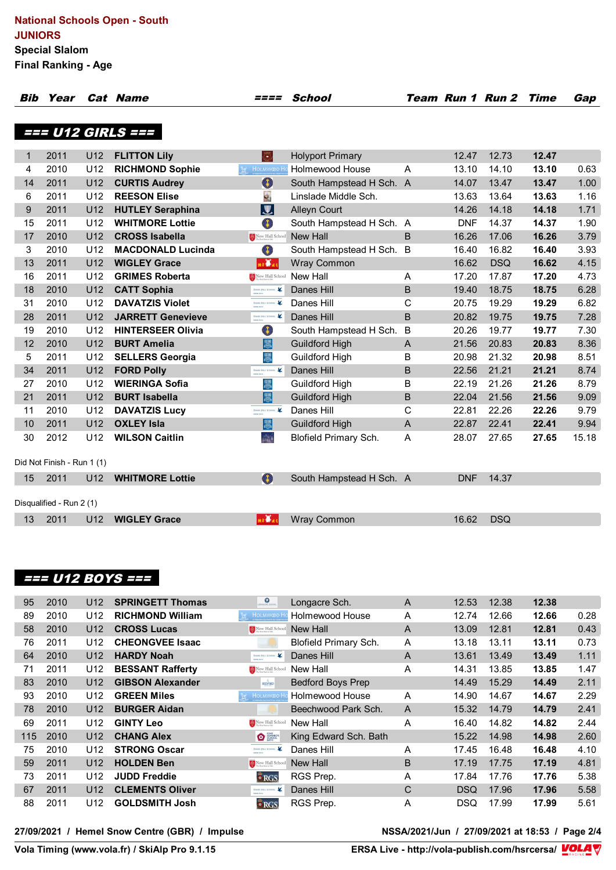| Bib         | Year                       |                 | <b>Cat Name</b>          | <i>====</i>                                                                                              | School                   |                |            | <b>Team Run 1 Run 2 Time</b> |       | Gap   |
|-------------|----------------------------|-----------------|--------------------------|----------------------------------------------------------------------------------------------------------|--------------------------|----------------|------------|------------------------------|-------|-------|
|             |                            |                 |                          |                                                                                                          |                          |                |            |                              |       |       |
|             |                            |                 | === U12 GIRLS ===        |                                                                                                          |                          |                |            |                              |       |       |
|             |                            |                 |                          |                                                                                                          |                          |                |            |                              |       |       |
| $\mathbf 1$ | 2011                       | U12             | <b>FLITTON Lily</b>      | N,                                                                                                       | <b>Holyport Primary</b>  |                | 12.47      | 12.73                        | 12.47 |       |
| 4           | 2010                       | U <sub>12</sub> | <b>RICHMOND Sophie</b>   | <b>M</b> HOLMWOOD H                                                                                      | <b>Holmewood House</b>   | $\overline{A}$ | 13.10      | 14.10                        | 13.10 | 0.63  |
| 14          | 2011                       | U12             | <b>CURTIS Audrey</b>     | $\bullet$                                                                                                | South Hampstead H Sch. A |                | 14.07      | 13.47                        | 13.47 | 1.00  |
| 6           | 2011                       | U12             | <b>REESON Elise</b>      | $\mathbf{z}$                                                                                             | Linslade Middle Sch.     |                | 13.63      | 13.64                        | 13.63 | 1.16  |
| 9           | 2011                       | U <sub>12</sub> | <b>HUTLEY Seraphina</b>  | $\overline{\bm{z}}$                                                                                      | <b>Alleyn Court</b>      |                | 14.26      | 14.18                        | 14.18 | 1.71  |
| 15          | 2011                       | U12             | <b>WHITMORE Lottie</b>   | O                                                                                                        | South Hampstead H Sch. A |                | <b>DNF</b> | 14.37                        | 14.37 | 1.90  |
| 17          | 2010                       | U12             | <b>CROSS Isabella</b>    | $\begin{tabular}{ c c } \hline $A$ & New Hall School\\ \hline The best Start IDB\\ \hline \end{tabular}$ | New Hall                 | B              | 16.26      | 17.06                        | 16.26 | 3.79  |
| 3           | 2010                       | U <sub>12</sub> | <b>MACDONALD Lucinda</b> | O                                                                                                        | South Hampstead H Sch. B |                | 16.40      | 16.82                        | 16.40 | 3.93  |
| 13          | 2011                       | U12             | <b>WIGLEY Grace</b>      | $n + 1$                                                                                                  | <b>Wray Common</b>       |                | 16.62      | <b>DSQ</b>                   | 16.62 | 4.15  |
| 16          | 2011                       | U12             | <b>GRIMES Roberta</b>    | New Hall School                                                                                          | New Hall                 | Α              | 17.20      | 17.87                        | 17.20 | 4.73  |
| 18          | 2010                       | U12             | <b>CATT Sophia</b>       | DANIS HILL SCHOOL                                                                                        | Danes Hill               | B              | 19.40      | 18.75                        | 18.75 | 6.28  |
| 31          | 2010                       | U <sub>12</sub> | <b>DAVATZIS Violet</b>   | DANES HILL SCHOOL                                                                                        | Danes Hill               | C              | 20.75      | 19.29                        | 19.29 | 6.82  |
| 28          | 2011                       | U12             | <b>JARRETT Genevieve</b> | DANES HILL SCHOOL                                                                                        | Danes Hill               | B              | 20.82      | 19.75                        | 19.75 | 7.28  |
| 19          | 2010                       | U12             | <b>HINTERSEER Olivia</b> | O                                                                                                        | South Hampstead H Sch.   | B              | 20.26      | 19.77                        | 19.77 | 7.30  |
| 12          | 2010                       | U <sub>12</sub> | <b>BURT Amelia</b>       | 恩                                                                                                        | <b>Guildford High</b>    | A              | 21.56      | 20.83                        | 20.83 | 8.36  |
| 5           | 2011                       | U <sub>12</sub> | <b>SELLERS Georgia</b>   | 圜                                                                                                        | Guildford High           | B              | 20.98      | 21.32                        | 20.98 | 8.51  |
| 34          | 2011                       | U12             | <b>FORD Polly</b>        | DANES HILL SCHOOL                                                                                        | Danes Hill               | B              | 22.56      | 21.21                        | 21.21 | 8.74  |
| 27          | 2010                       | U12             | <b>WIERINGA Sofia</b>    | 圜                                                                                                        | Guildford High           | B              | 22.19      | 21.26                        | 21.26 | 8.79  |
| 21          | 2011                       | U <sub>12</sub> | <b>BURT Isabella</b>     | 屬                                                                                                        | <b>Guildford High</b>    | B              | 22.04      | 21.56                        | 21.56 | 9.09  |
| 11          | 2010                       | U <sub>12</sub> | <b>DAVATZIS Lucy</b>     | DANIS HILL SCHOOL                                                                                        | Danes Hill               | C              | 22.81      | 22.26                        | 22.26 | 9.79  |
| 10          | 2011                       | U12             | <b>OXLEY Isla</b>        | 屬                                                                                                        | <b>Guildford High</b>    | A              | 22.87      | 22.41                        | 22.41 | 9.94  |
| 30          | 2012                       | U <sub>12</sub> | <b>WILSON Caitlin</b>    | $\frac{1}{\sin 2\theta}$                                                                                 | Blofield Primary Sch.    | A              | 28.07      | 27.65                        | 27.65 | 15.18 |
|             |                            |                 |                          |                                                                                                          |                          |                |            |                              |       |       |
|             | Did Not Finish - Run 1 (1) |                 |                          |                                                                                                          |                          |                |            |                              |       |       |
| 15          | 2011                       | U <sub>12</sub> | <b>WHITMORE Lottie</b>   | $\bullet$                                                                                                | South Hampstead H Sch. A |                | <b>DNF</b> | 14.37                        |       |       |
|             |                            |                 |                          |                                                                                                          |                          |                |            |                              |       |       |
|             | Disqualified - Run 2 (1)   |                 |                          |                                                                                                          |                          |                |            |                              |       |       |
| 13          | 2011                       | U <sub>12</sub> | <b>WIGLEY Grace</b>      | ar Was                                                                                                   | <b>Wray Common</b>       |                | 16.62      | <b>DSQ</b>                   |       |       |

#### **=== U12 BOYS ===**

| 95  | 2010 | U <sub>12</sub> | <b>SPRINGETT Thomas</b> | $\overline{\mathbf{Q}}$                                                                                                 | Longacre Sch.                | A              | 12.53      | 12.38 | 12.38 |      |
|-----|------|-----------------|-------------------------|-------------------------------------------------------------------------------------------------------------------------|------------------------------|----------------|------------|-------|-------|------|
| 89  | 2010 | U <sub>12</sub> | <b>RICHMOND William</b> | <b>M</b> HOLMWOOL                                                                                                       | <b>Holmewood House</b>       | A              | 12.74      | 12.66 | 12.66 | 0.28 |
| 58  | 2010 | U <sub>12</sub> | <b>CROSS Lucas</b>      | $\begin{tabular}{ c c c c } \hline & New Hall School \\ \hline The best Section 1.6 \\ \hline \end{tabular}$            | New Hall                     | A              | 13.09      | 12.81 | 12.81 | 0.43 |
| 76  | 2011 | U <sub>12</sub> | <b>CHEONGVEE Isaac</b>  |                                                                                                                         | <b>Blofield Primary Sch.</b> | A              | 13.18      | 13.11 | 13.11 | 0.73 |
| 64  | 2010 | U <sub>12</sub> | <b>HARDY Noah</b>       | DANES HILL SCHOOL                                                                                                       | Danes Hill                   | A              | 13.61      | 13.49 | 13.49 | 1.11 |
| 71  | 2011 | U <sub>12</sub> | <b>BESSANT Rafferty</b> | $\begin{tabular}{ c c c c } \hline $A$ & New Hall School \\ \hline $B$ & The Best state is 1.5 \\ \hline \end{tabular}$ | New Hall                     | A              | 14.31      | 13.85 | 13.85 | 1.47 |
| 83  | 2010 | U <sub>12</sub> | <b>GIBSON Alexander</b> | $\frac{\wedge}{\text{BEDFOKD}}$                                                                                         | <b>Bedford Boys Prep</b>     |                | 14.49      | 15.29 | 14.49 | 2.11 |
| 93  | 2010 | U12             | <b>GREEN Miles</b>      | <b>M</b> HOLMWOOD H                                                                                                     | Holmewood House              | A              | 14.90      | 14.67 | 14.67 | 2.29 |
| 78  | 2010 | U <sub>12</sub> | <b>BURGER Aidan</b>     |                                                                                                                         | Beechwood Park Sch.          | $\overline{A}$ | 15.32      | 14.79 | 14.79 | 2.41 |
| 69  | 2011 | U <sub>12</sub> | <b>GINTY Leo</b>        | $R$ New Hall School                                                                                                     | New Hall                     | A              | 16.40      | 14.82 | 14.82 | 2.44 |
| 115 | 2010 | U <sub>12</sub> | <b>CHANG Alex</b>       | $\bullet$                                                                                                               | King Edward Sch. Bath        |                | 15.22      | 14.98 | 14.98 | 2.60 |
| 75  | 2010 | U <sub>12</sub> | <b>STRONG Oscar</b>     | DANES HILL SCHOOL                                                                                                       | Danes Hill                   | A              | 17.45      | 16.48 | 16.48 | 4.10 |
| 59  | 2011 | U <sub>12</sub> | <b>HOLDEN Ben</b>       | New Hall School                                                                                                         | <b>New Hall</b>              | B              | 17.19      | 17.75 | 17.19 | 4.81 |
| 73  | 2011 | U <sub>12</sub> | <b>JUDD Freddie</b>     | $\bullet$ RGS                                                                                                           | RGS Prep.                    | A              | 17.84      | 17.76 | 17.76 | 5.38 |
| 67  | 2011 | U <sub>12</sub> | <b>CLEMENTS Oliver</b>  | DANES HILL SCHOOL                                                                                                       | Danes Hill                   | C              | <b>DSQ</b> | 17.96 | 17.96 | 5.58 |
| 88  | 2011 | U <sub>12</sub> | <b>GOLDSMITH Josh</b>   | $\bullet$ RGS                                                                                                           | RGS Prep.                    | A              | <b>DSQ</b> | 17.99 | 17.99 | 5.61 |

**27/09/2021 / Hemel Snow Centre (GBR) / Impulse NSSA/2021/Jun / 27/09/2021 at 18:53 / Page 2/4**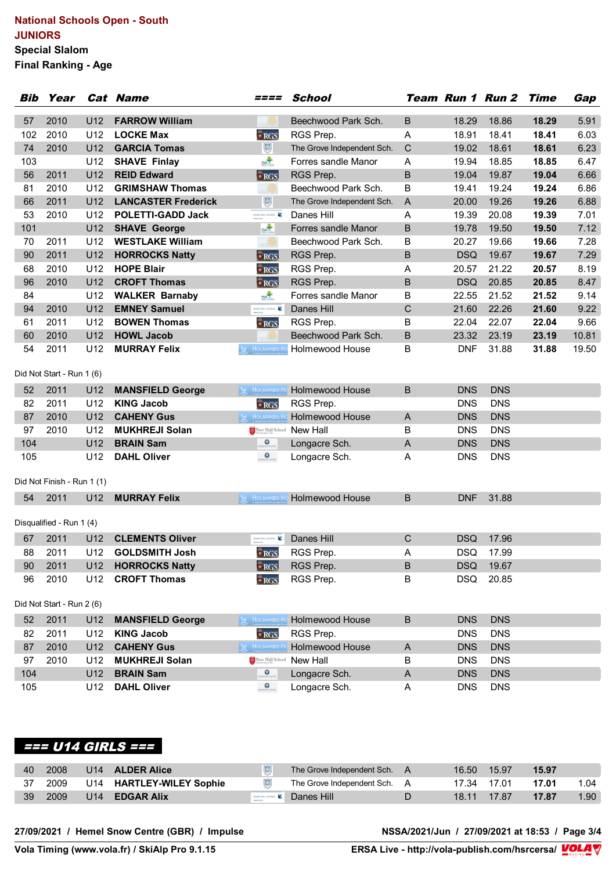#### **National Schools Open - South JUNIORS Special Slalom Final Ranking - Age**

|     | Year<br>Bib                |                 | <b>Cat Name</b>            | ====                                                                                    | <b>School</b>              |             |            | Team Run 1 Run 2 | <b>Time</b> | Gap   |
|-----|----------------------------|-----------------|----------------------------|-----------------------------------------------------------------------------------------|----------------------------|-------------|------------|------------------|-------------|-------|
| 57  | 2010                       | U <sub>12</sub> | <b>FARROW William</b>      |                                                                                         | Beechwood Park Sch.        | B           | 18.29      | 18.86            | 18.29       | 5.91  |
| 102 | 2010                       | U12             | <b>LOCKE Max</b>           | <b>BRGS</b>                                                                             | RGS Prep.                  | Α           | 18.91      | 18.41            | 18.41       | 6.03  |
| 74  | 2010                       | U <sub>12</sub> | <b>GARCIA Tomas</b>        | $\bigcirc$                                                                              | The Grove Independent Sch. | C           | 19.02      | 18.61            | 18.61       | 6.23  |
| 103 |                            | U12             | <b>SHAVE Finlay</b>        | <b>FSWATE</b>                                                                           | Forres sandle Manor        | Α           | 19.94      | 18.85            | 18.85       | 6.47  |
| 56  | 2011                       | U12             | <b>REID Edward</b>         | RGS                                                                                     | RGS Prep.                  | $\mathsf B$ | 19.04      | 19.87            | 19.04       | 6.66  |
| 81  | 2010                       | U <sub>12</sub> | <b>GRIMSHAW Thomas</b>     |                                                                                         | Beechwood Park Sch.        | B           | 19.41      | 19.24            | 19.24       | 6.86  |
| 66  | 2011                       | U <sub>12</sub> | <b>LANCASTER Frederick</b> | $\mathbb{R}$                                                                            | The Grove Independent Sch. | A           | 20.00      | 19.26            | 19.26       | 6.88  |
| 53  | 2010                       | U12             | <b>POLETTI-GADD Jack</b>   | DANES HILL SCHOOL                                                                       | Danes Hill                 | Α           | 19.39      | 20.08            | 19.39       | 7.01  |
| 101 |                            | U12             | <b>SHAVE George</b>        | <b>FSWAT</b>                                                                            | Forres sandle Manor        | B           | 19.78      | 19.50            | 19.50       | 7.12  |
| 70  | 2011                       | U <sub>12</sub> | <b>WESTLAKE William</b>    |                                                                                         | Beechwood Park Sch.        | в           | 20.27      | 19.66            | 19.66       | 7.28  |
| 90  | 2011                       | U12             | <b>HORROCKS Natty</b>      | RGS                                                                                     | RGS Prep.                  | B           | <b>DSQ</b> | 19.67            | 19.67       | 7.29  |
| 68  | 2010                       | U12             | <b>HOPE Blair</b>          | $\bullet$ RGS                                                                           | RGS Prep.                  | Α           | 20.57      | 21.22            | 20.57       | 8.19  |
| 96  | 2010                       | U <sub>12</sub> | <b>CROFT Thomas</b>        | RGS                                                                                     | RGS Prep.                  | B           | <b>DSQ</b> | 20.85            | 20.85       | 8.47  |
| 84  |                            | U12             | <b>WALKER Barnaby</b>      | <b>FSWAT</b>                                                                            | Forres sandle Manor        | B           | 22.55      | 21.52            | 21.52       | 9.14  |
| 94  | 2010                       | U12             | <b>EMNEY Samuel</b>        | DANES HILL SCHOOL                                                                       | Danes Hill                 | C           | 21.60      | 22.26            | 21.60       | 9.22  |
| 61  | 2011                       | U <sub>12</sub> | <b>BOWEN Thomas</b>        | RGS                                                                                     | RGS Prep.                  | в           | 22.04      | 22.07            | 22.04       | 9.66  |
| 60  | 2010                       | U12             | <b>HOWL Jacob</b>          |                                                                                         | Beechwood Park Sch.        | B           | 23.32      | 23.19            | 23.19       | 10.81 |
| 54  | 2011                       | U <sub>12</sub> | <b>MURRAY Felix</b>        | <b>M</b> HOLMWOOD Ho                                                                    | <b>Holmewood House</b>     | в           | <b>DNF</b> | 31.88            | 31.88       | 19.50 |
|     | Did Not Start - Run 1 (6)  |                 |                            |                                                                                         |                            |             |            |                  |             |       |
| 52  | 2011                       | U12             | <b>MANSFIELD George</b>    | <b>Ext</b> Holmwood Ho                                                                  | <b>Holmewood House</b>     | B           | <b>DNS</b> | <b>DNS</b>       |             |       |
| 82  | 2011                       | U12             | <b>KING Jacob</b>          | $\bullet$ RGS                                                                           | RGS Prep.                  |             | <b>DNS</b> | <b>DNS</b>       |             |       |
| 87  | 2010                       | U <sub>12</sub> | <b>CAHENY Gus</b>          | <b>M</b> HOLMWOOD Ho                                                                    | Holmewood House            | A           | <b>DNS</b> | <b>DNS</b>       |             |       |
| 97  | 2010                       | U <sub>12</sub> | <b>MUKHREJI Solan</b>      | $\begin{tabular}{l} New Hall School\\ \hline The best statement\\ \hline \end{tabular}$ | New Hall                   | B           | <b>DNS</b> | <b>DNS</b>       |             |       |
| 104 |                            | U <sub>12</sub> | <b>BRAIN Sam</b>           | $\bullet$                                                                               | Longacre Sch.              | A           | <b>DNS</b> | <b>DNS</b>       |             |       |
| 105 |                            | U12             | <b>DAHL Oliver</b>         | $\mathbf{Q}$                                                                            | Longacre Sch.              | Α           | <b>DNS</b> | <b>DNS</b>       |             |       |
|     | Did Not Finish - Run 1 (1) |                 |                            |                                                                                         |                            |             |            |                  |             |       |
| 54  | 2011                       | U12             | <b>MURRAY Felix</b>        | <b>M</b> HOLMWOOD HO                                                                    | <b>Holmewood House</b>     | B           | <b>DNF</b> | 31.88            |             |       |
|     | Disqualified - Run 1 (4)   |                 |                            |                                                                                         |                            |             |            |                  |             |       |
| 67  | 2011                       | U12             | <b>CLEMENTS Oliver</b>     | DANES HILL SCHOOL                                                                       | Danes Hill                 | C           | <b>DSQ</b> | 17.96            |             |       |
| 88  | 2011                       | U12             | <b>GOLDSMITH Josh</b>      | $\bullet$ RGS                                                                           | RGS Prep.                  | A           | <b>DSQ</b> | 17.99            |             |       |
| 90  | 2011                       |                 | U12 HORROCKS Natty         | RGS                                                                                     | RGS Prep.                  | B           | <b>DSQ</b> | 19.67            |             |       |
| 96  | 2010                       | U12             | <b>CROFT Thomas</b>        | RGS                                                                                     | RGS Prep.                  | B           | <b>DSQ</b> | 20.85            |             |       |
|     | Did Not Start - Run 2 (6)  |                 |                            |                                                                                         |                            |             |            |                  |             |       |
| 52  | 2011                       | U12             | <b>MANSFIELD George</b>    | <b>M</b> HOLMWOO H                                                                      | <b>Holmewood House</b>     | B           | <b>DNS</b> | <b>DNS</b>       |             |       |
| 82  | 2011                       | U12             | <b>KING Jacob</b>          | $\frac{2}{3}RGS$                                                                        | RGS Prep.                  |             | <b>DNS</b> | <b>DNS</b>       |             |       |
| 87  | 2010                       | U12             | <b>CAHENY Gus</b>          | HOLMWOOD Ho                                                                             | Holmewood House            | A           | <b>DNS</b> | <b>DNS</b>       |             |       |
| 97  | 2010                       | U12             | <b>MUKHREJI Solan</b>      | New Hall School                                                                         | New Hall                   | B           | <b>DNS</b> | <b>DNS</b>       |             |       |
| 104 |                            | U12             | <b>BRAIN Sam</b>           | $\mathbf{Q}$                                                                            | Longacre Sch.              | A           | <b>DNS</b> | <b>DNS</b>       |             |       |
| 105 |                            | U12             | <b>DAHL Oliver</b>         | $\mathbf{Q}$                                                                            | Longacre Sch.              | A           | <b>DNS</b> | <b>DNS</b>       |             |       |

# **=== U14 GIRLS ===**

| 40              | 2008 | U14 | <b>ALDER Alice</b>          | The Grove Independent Sch. A | 16.50 | 15.97 | 15.97 |      |
|-----------------|------|-----|-----------------------------|------------------------------|-------|-------|-------|------|
|                 | 2009 | U14 | <b>HARTLEY-WILEY Sophie</b> | The Grove Independent Sch.   | 17.34 | 17.01 | 17.01 |      |
| 39 <sup>°</sup> | 2009 | U14 | <b>EDGAR Alix</b>           | Danes Hill                   | 18.11 | 17.87 | 17.87 | 1.90 |

**27/09/2021 / Hemel Snow Centre (GBR) / Impulse NSSA/2021/Jun / 27/09/2021 at 18:53 / Page 3/4**

**Vola Timing (www.vola.fr) / SkiAlp Pro 9.1.15 ERSA Live - http://vola-publish.com/hsrcersa/**

<u>Volanda Software (</u>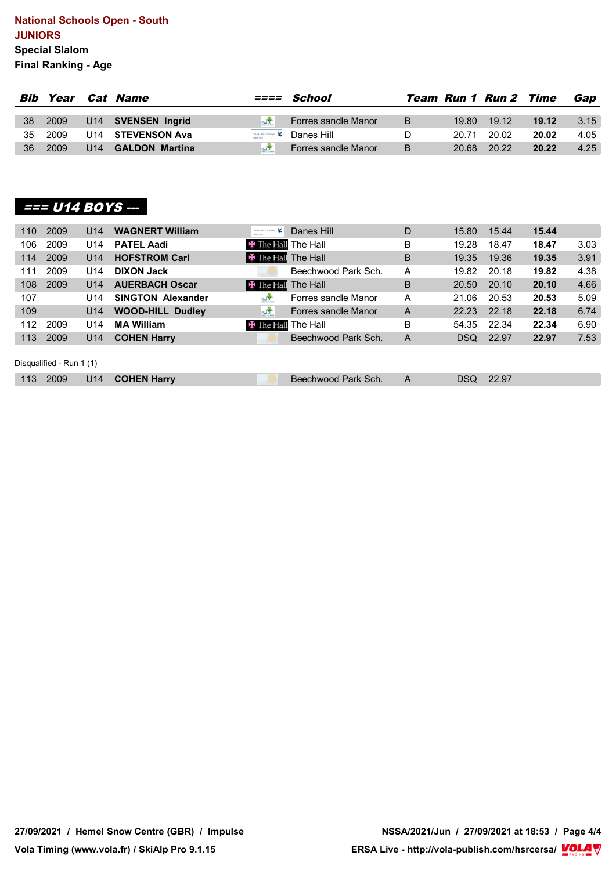#### **National Schools Open - South JUNIORS Special Slalom Final Ranking - Age**

| Bib |         |     | Year Cat Name         |            | <i>==== School</i>             |   |       | <b>Team Run 1 Run 2 Time</b> |       | Gap  |
|-----|---------|-----|-----------------------|------------|--------------------------------|---|-------|------------------------------|-------|------|
| 38  | 2009    |     | U14 SVENSEN Ingrid    | FSW3       | Forres sandle Manor            | B | 19.80 | 19.12                        | 19.12 | 3.15 |
|     | 35 2009 |     | U14 STEVENSON Ava     |            | Danes Hull School & Danes Hill |   | 20.71 | 20.02                        | 20.02 | 4.05 |
| 36  | 2009    | U14 | <b>GALDON Martina</b> | <b>FSM</b> | Forres sandle Manor            | B | 20.68 | 20.22                        | 20.22 | 4.25 |

### **=== U14 BOYS ---**

| 110 | 2009                     | U14             | <b>WAGNERT William</b>   | DANES HILL SCHOOL          | Danes Hill          | D | 15.80 | 15.44 | 15.44 |      |
|-----|--------------------------|-----------------|--------------------------|----------------------------|---------------------|---|-------|-------|-------|------|
| 106 | 2009                     | U14             | <b>PATEL Aadi</b>        | <b>X</b> The Hall The Hall |                     | B | 19.28 | 18.47 | 18.47 | 3.03 |
| 114 | 2009                     | U14             | <b>HOFSTROM Carl</b>     | <b>X</b> The Hall The Hall |                     | B | 19.35 | 19.36 | 19.35 | 3.91 |
| 111 | 2009                     | U14             | <b>DIXON Jack</b>        |                            | Beechwood Park Sch. | A | 19.82 | 20.18 | 19.82 | 4.38 |
| 108 | 2009                     | U <sub>14</sub> | <b>AUERBACH Oscar</b>    | <b>X</b> The Hall The Hall |                     | B | 20.50 | 20.10 | 20.10 | 4.66 |
| 107 |                          | U14             | <b>SINGTON Alexander</b> | <b>ESMA</b>                | Forres sandle Manor | A | 21.06 | 20.53 | 20.53 | 5.09 |
| 109 |                          | U14             | <b>WOOD-HILL Dudley</b>  | <b>FSWAT</b>               | Forres sandle Manor | A | 22.23 | 22.18 | 22.18 | 6.74 |
| 112 | 2009                     | U14             | <b>MA William</b>        | <b>X</b> The Hall The Hall |                     | B | 54.35 | 22.34 | 22.34 | 6.90 |
| 113 | 2009                     | U14             | <b>COHEN Harry</b>       |                            | Beechwood Park Sch. | A | DSQ   | 22.97 | 22.97 | 7.53 |
|     |                          |                 |                          |                            |                     |   |       |       |       |      |
|     | Disqualified - Run 1 (1) |                 |                          |                            |                     |   |       |       |       |      |
| 113 | 2009                     | U14             | <b>COHEN Harry</b>       |                            | Beechwood Park Sch. | A | DSQ   | 22.97 |       |      |

**27/09/2021 / Hemel Snow Centre (GBR) / Impulse NSSA/2021/Jun / 27/09/2021 at 18:53 / Page 4/4**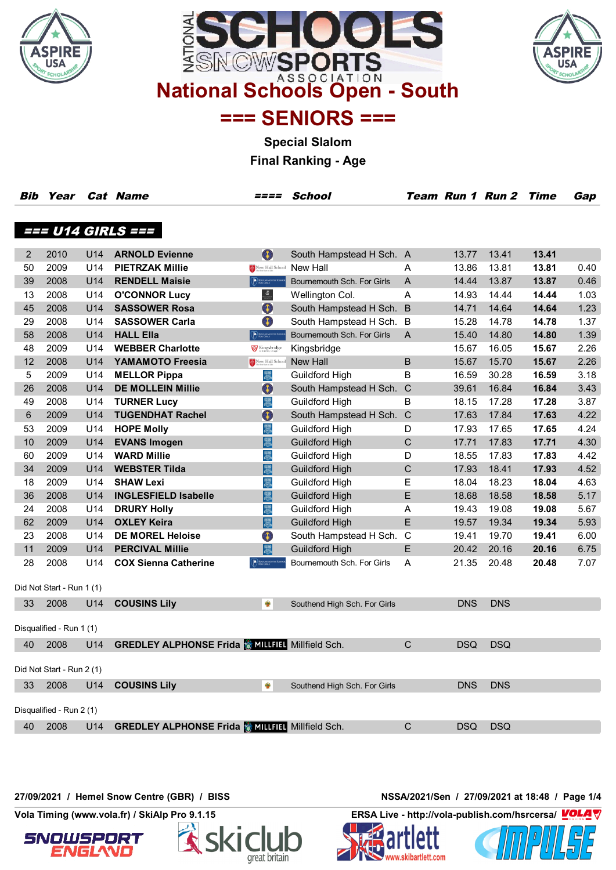





**=== SENIORS ===**

**Special Slalom**

**Final Ranking - Age**

| Bib | Year                      |     | <b>Cat Name</b>                                      | ====                                                | <b>School</b>                |                |            | Team Run 1 Run 2 Time |       | Gap  |
|-----|---------------------------|-----|------------------------------------------------------|-----------------------------------------------------|------------------------------|----------------|------------|-----------------------|-------|------|
|     |                           |     |                                                      |                                                     |                              |                |            |                       |       |      |
|     |                           |     | === U14 GIRLS ===                                    |                                                     |                              |                |            |                       |       |      |
|     |                           |     |                                                      |                                                     |                              |                |            |                       |       |      |
| 2   | 2010                      | U14 | <b>ARNOLD Evienne</b>                                | $\bullet$                                           | South Hampstead H Sch. A     |                | 13.77      | 13.41                 | 13.41 |      |
| 50  | 2009                      | U14 | <b>PIETRZAK Millie</b>                               | New Hall School                                     | New Hall                     | A              | 13.86      | 13.81                 | 13.81 | 0.40 |
| 39  | 2008                      | U14 | <b>RENDELL Maisie</b>                                | <b>DESCRIPTION AND SCHO</b>                         | Bournemouth Sch. For Girls   | $\overline{A}$ | 14.44      | 13.87                 | 13.87 | 0.46 |
| 13  | 2008                      | U14 | <b>O'CONNOR Lucy</b>                                 | $\frac{\delta \overline{a}}{1-\delta \overline{a}}$ | Wellington Col.              | Α              | 14.93      | 14.44                 | 14.44 | 1.03 |
| 45  | 2008                      | U14 | <b>SASSOWER Rosa</b>                                 | O                                                   | South Hampstead H Sch. B     |                | 14.71      | 14.64                 | 14.64 | 1.23 |
| 29  | 2008                      | U14 | <b>SASSOWER Carla</b>                                | O                                                   | South Hampstead H Sch. B     |                | 15.28      | 14.78                 | 14.78 | 1.37 |
| 58  | 2008                      | U14 | <b>HALL Ella</b>                                     | <b>DESCRIPTION AND REAL PROPERTY</b>                | Bournemouth Sch. For Girls   | $\mathsf{A}$   | 15.40      | 14.80                 | 14.80 | 1.39 |
| 48  | 2009                      | U14 | <b>WEBBER Charlotte</b>                              | Kingsbridge                                         | Kingsbridge                  |                | 15.67      | 16.05                 | 15.67 | 2.26 |
| 12  | 2008                      | U14 | YAMAMOTO Freesia                                     | New Hall School                                     | New Hall                     | B              | 15.67      | 15.70                 | 15.67 | 2.26 |
| 5   | 2009                      | U14 | <b>MELLOR Pippa</b>                                  | 愚                                                   | Guildford High               | B              | 16.59      | 30.28                 | 16.59 | 3.18 |
| 26  | 2008                      | U14 | <b>DE MOLLEIN Millie</b>                             | O                                                   | South Hampstead H Sch. C     |                | 39.61      | 16.84                 | 16.84 | 3.43 |
| 49  | 2008                      | U14 | <b>TURNER Lucy</b>                                   | 愚                                                   | Guildford High               | в              | 18.15      | 17.28                 | 17.28 | 3.87 |
| 6   | 2009                      | U14 | <b>TUGENDHAT Rachel</b>                              | O                                                   | South Hampstead H Sch.       | $\mathsf{C}$   | 17.63      | 17.84                 | 17.63 | 4.22 |
| 53  | 2009                      | U14 | <b>HOPE Molly</b>                                    | 愚                                                   | Guildford High               | D              | 17.93      | 17.65                 | 17.65 | 4.24 |
| 10  | 2009                      | U14 | <b>EVANS Imogen</b>                                  | 愚                                                   | <b>Guildford High</b>        | C              | 17.71      | 17.83                 | 17.71 | 4.30 |
| 60  | 2009                      | U14 | <b>WARD Millie</b>                                   | 愚                                                   | Guildford High               | D              | 18.55      | 17.83                 | 17.83 | 4.42 |
| 34  | 2009                      | U14 | <b>WEBSTER Tilda</b>                                 | 愚                                                   | <b>Guildford High</b>        | C              | 17.93      | 18.41                 | 17.93 | 4.52 |
| 18  | 2009                      | U14 | <b>SHAW Lexi</b>                                     | 愚                                                   | Guildford High               | Е              | 18.04      | 18.23                 | 18.04 | 4.63 |
| 36  | 2008                      | U14 | <b>INGLESFIELD Isabelle</b>                          | 恩                                                   | <b>Guildford High</b>        | E              | 18.68      | 18.58                 | 18.58 | 5.17 |
| 24  | 2008                      | U14 | <b>DRURY Holly</b>                                   | 愚                                                   | Guildford High               | Α              | 19.43      | 19.08                 | 19.08 | 5.67 |
| 62  | 2009                      | U14 | <b>OXLEY Keira</b>                                   | 恩                                                   | <b>Guildford High</b>        | E              | 19.57      | 19.34                 | 19.34 | 5.93 |
| 23  | 2008                      | U14 | <b>DE MOREL Heloise</b>                              | O                                                   | South Hampstead H Sch.       | $\mathsf{C}$   | 19.41      | 19.70                 | 19.41 | 6.00 |
| 11  | 2009                      | U14 | <b>PERCIVAL Millie</b>                               | 圜                                                   | <b>Guildford High</b>        | E              | 20.42      | 20.16                 | 20.16 | 6.75 |
| 28  | 2008                      | U14 | <b>COX Sienna Catherine</b>                          | <b>DE TOURNEMOUTH SCH</b>                           | Bournemouth Sch. For Girls   | Α              | 21.35      | 20.48                 | 20.48 | 7.07 |
|     |                           |     |                                                      |                                                     |                              |                |            |                       |       |      |
|     | Did Not Start - Run 1 (1) |     |                                                      |                                                     |                              |                |            |                       |       |      |
| 33  | 2008                      | U14 | <b>COUSINS Lily</b>                                  | ₩                                                   | Southend High Sch. For Girls |                | <b>DNS</b> | <b>DNS</b>            |       |      |
|     |                           |     |                                                      |                                                     |                              |                |            |                       |       |      |
|     | Disqualified - Run 1 (1)  |     |                                                      |                                                     |                              |                |            |                       |       |      |
| 40  | 2008                      | U14 | <b>GREDLEY ALPHONSE Frida MILLILL Millfield Sch.</b> |                                                     |                              | C              | <b>DSQ</b> | <b>DSQ</b>            |       |      |
|     |                           |     |                                                      |                                                     |                              |                |            |                       |       |      |
|     | Did Not Start - Run 2 (1) |     |                                                      |                                                     |                              |                |            |                       |       |      |
| 33  | 2008                      | U14 | <b>COUSINS Lily</b>                                  | ₩                                                   | Southend High Sch. For Girls |                | <b>DNS</b> | <b>DNS</b>            |       |      |
|     |                           |     |                                                      |                                                     |                              |                |            |                       |       |      |
|     | Disqualified - Run 2 (1)  |     |                                                      |                                                     |                              |                |            |                       |       |      |
| 40  | 2008                      | U14 | <b>GREDLEY ALPHONSE Frida WILLELT</b> Millfield Sch. |                                                     |                              | C              | <b>DSQ</b> | <b>DSQ</b>            |       |      |
|     |                           |     |                                                      |                                                     |                              |                |            |                       |       |      |

**27/09/2021 / Hemel Snow Centre (GBR) / BISS NSSA/2021/Sen / 27/09/2021 at 18:48 / Page 1/4**





**Vola Timing (www.vola.fr) / SkiAlp Pro 9.1.15 ERSA Live - http://vola-publish.com/hsrcersa/**



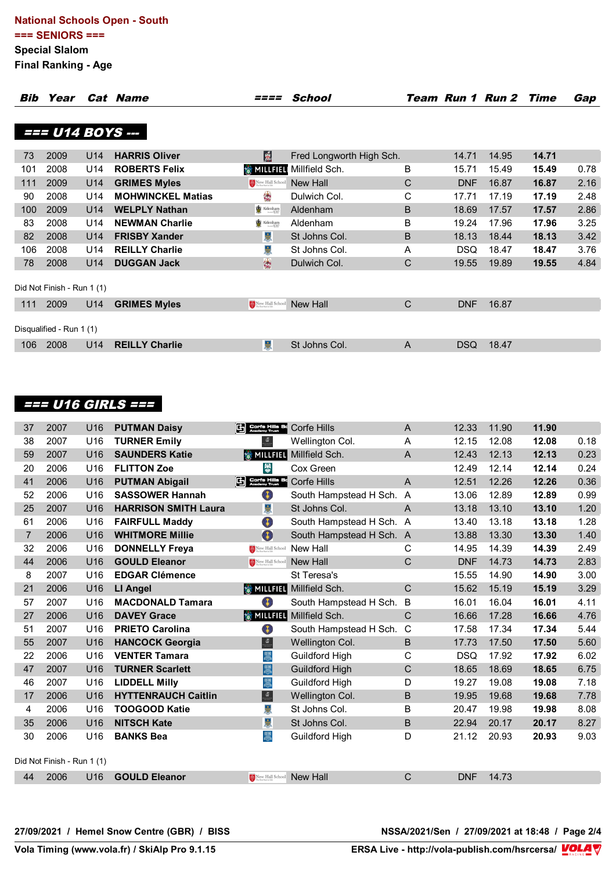| Bib | Year                       |                 | <b>Cat Name</b>          |                                                                                                             | School                   |   |            | Team Run 1 Run 2 Time |       | Gap  |
|-----|----------------------------|-----------------|--------------------------|-------------------------------------------------------------------------------------------------------------|--------------------------|---|------------|-----------------------|-------|------|
|     | === U14 BOYS ---           |                 |                          |                                                                                                             |                          |   |            |                       |       |      |
|     |                            |                 |                          |                                                                                                             |                          |   |            |                       |       |      |
| 73  | 2009                       | U14             | <b>HARRIS Oliver</b>     | <b>R</b>                                                                                                    | Fred Longworth High Sch. |   | 14.71      | 14.95                 | 14.71 |      |
| 101 | 2008                       | U14             | <b>ROBERTS Felix</b>     | <b>鑾 MILLFIELI</b>                                                                                          | Millfield Sch.           | B | 15.71      | 15.49                 | 15.49 | 0.78 |
| 111 | 2009                       | U14             | <b>GRIMES Myles</b>      | New Hall School                                                                                             | New Hall                 | C | <b>DNF</b> | 16.87                 | 16.87 | 2.16 |
| 90  | 2008                       | U14             | <b>MOHWINCKEL Matias</b> | 编                                                                                                           | Dulwich Col.             | C | 17.71      | 17.19                 | 17.19 | 2.48 |
| 100 | 2009                       | U14             | <b>WELPLY Nathan</b>     | Aldenham                                                                                                    | Aldenham                 | B | 18.69      | 17.57                 | 17.57 | 2.86 |
| 83  | 2008                       | U14             | <b>NEWMAN Charlie</b>    | Aldenham                                                                                                    | Aldenham                 | B | 19.24      | 17.96                 | 17.96 | 3.25 |
| 82  | 2008                       | U <sub>14</sub> | <b>FRISBY Xander</b>     | 岛                                                                                                           | St Johns Col.            | B | 18.13      | 18.44                 | 18.13 | 3.42 |
| 106 | 2008                       | U14             | <b>REILLY Charlie</b>    | 喜                                                                                                           | St Johns Col.            | A | <b>DSQ</b> | 18.47                 | 18.47 | 3.76 |
| 78  | 2008                       | U14             | <b>DUGGAN Jack</b>       | 傷                                                                                                           | Dulwich Col.             | C | 19.55      | 19.89                 | 19.55 | 4.84 |
|     | Did Not Finish - Run 1 (1) |                 |                          |                                                                                                             |                          |   |            |                       |       |      |
| 111 | 2009                       | U <sub>14</sub> | <b>GRIMES Myles</b>      | $\begin{tabular}{ c c c c } \hline $A$ & New Hall School \\ \hline $B$ & The best state that \end{tabular}$ | New Hall                 | C | <b>DNF</b> | 16.87                 |       |      |
|     | Disqualified - Run 1 (1)   |                 |                          |                                                                                                             |                          |   |            |                       |       |      |
| 106 | 2008                       | U14             | <b>REILLY Charlie</b>    | 山                                                                                                           | St Johns Col.            | A | <b>DSQ</b> | 18.47                 |       |      |

# **=== U16 GIRLS ===**

| 37             | 2007                       | U16             | <b>PUTMAN Daisy</b>         | En Corte Hills Bc Corfe Hills   |                                | A              | 12.33      | 11.90 | 11.90 |      |
|----------------|----------------------------|-----------------|-----------------------------|---------------------------------|--------------------------------|----------------|------------|-------|-------|------|
| 38             | 2007                       | U16             | <b>TURNER Emily</b>         | $\frac{\delta \overline{z}}{2}$ | Wellington Col.                | A              | 12.15      | 12.08 | 12.08 | 0.18 |
| 59             | 2007                       | U16             | <b>SAUNDERS Katie</b>       |                                 | <b>WILLFIEL Millfield Sch.</b> | A              | 12.43      | 12.13 | 12.13 | 0.23 |
| 20             | 2006                       | U16             | <b>FLITTON Zoe</b>          | 榮                               | Cox Green                      |                | 12.49      | 12.14 | 12.14 | 0.24 |
| 41             | 2006                       | U16             | <b>PUTMAN Abigail</b>       | Corfe Hills Bo                  | <b>Corfe Hills</b>             | $\overline{A}$ | 12.51      | 12.26 | 12.26 | 0.36 |
| 52             | 2006                       | U <sub>16</sub> | <b>SASSOWER Hannah</b>      | O                               | South Hampstead H Sch. A       |                | 13.06      | 12.89 | 12.89 | 0.99 |
| 25             | 2007                       | U16             | <b>HARRISON SMITH Laura</b> | 튅                               | St Johns Col.                  | A              | 13.18      | 13.10 | 13.10 | 1.20 |
| 61             | 2006                       | U <sub>16</sub> | <b>FAIRFULL Maddy</b>       | O                               | South Hampstead H Sch. A       |                | 13.40      | 13.18 | 13.18 | 1.28 |
| $\overline{7}$ | 2006                       | U16             | <b>WHITMORE Millie</b>      | $\bullet$                       | South Hampstead H Sch. A       |                | 13.88      | 13.30 | 13.30 | 1.40 |
| 32             | 2006                       | U16             | <b>DONNELLY Freya</b>       | New Hall School                 | New Hall                       | С              | 14.95      | 14.39 | 14.39 | 2.49 |
| 44             | 2006                       | U16             | <b>GOULD Eleanor</b>        | New Hall School                 | <b>New Hall</b>                | C              | <b>DNF</b> | 14.73 | 14.73 | 2.83 |
| 8              | 2007                       | U16             | <b>EDGAR Clémence</b>       |                                 | St Teresa's                    |                | 15.55      | 14.90 | 14.90 | 3.00 |
| 21             | 2006                       | U16             | LI Angel                    | <b><br/> SMILLFIELI</b>         | Millfield Sch.                 | $\mathsf{C}$   | 15.62      | 15.19 | 15.19 | 3.29 |
| 57             | 2007                       | U16             | <b>MACDONALD Tamara</b>     | O                               | South Hampstead H Sch.         | B              | 16.01      | 16.04 | 16.01 | 4.11 |
| 27             | 2006                       | U <sub>16</sub> | <b>DAVEY Grace</b>          | <b>参 MILLFIEL</b>               | Millfield Sch.                 | C              | 16.66      | 17.28 | 16.66 | 4.76 |
| 51             | 2007                       | U <sub>16</sub> | <b>PRIETO Carolina</b>      | O                               | South Hampstead H Sch.         | $\mathsf{C}$   | 17.58      | 17.34 | 17.34 | 5.44 |
| 55             | 2007                       | U16             | <b>HANCOCK Georgia</b>      | $\frac{a}{\sqrt{2}}$            | Wellington Col.                | B              | 17.73      | 17.50 | 17.50 | 5.60 |
| 22             | 2006                       | U16             | <b>VENTER Tamara</b>        | 思                               | <b>Guildford High</b>          | C              | <b>DSQ</b> | 17.92 | 17.92 | 6.02 |
| 47             | 2007                       | U <sub>16</sub> | <b>TURNER Scarlett</b>      | 恩                               | <b>Guildford High</b>          | C              | 18.65      | 18.69 | 18.65 | 6.75 |
| 46             | 2007                       | U16             | <b>LIDDELL Milly</b>        | 恩                               | Guildford High                 | D              | 19.27      | 19.08 | 19.08 | 7.18 |
| 17             | 2006                       | U <sub>16</sub> | <b>HYTTENRAUCH Caitlin</b>  | $\frac{\delta}{\delta}$         | Wellington Col.                | B              | 19.95      | 19.68 | 19.68 | 7.78 |
| 4              | 2006                       | U <sub>16</sub> | <b>TOOGOOD Katie</b>        | 붲                               | St Johns Col.                  | B              | 20.47      | 19.98 | 19.98 | 8.08 |
| 35             | 2006                       | U <sub>16</sub> | <b>NITSCH Kate</b>          | ¥                               | St Johns Col.                  | B              | 22.94      | 20.17 | 20.17 | 8.27 |
| 30             | 2006                       | U16             | <b>BANKS Bea</b>            | 圜                               | Guildford High                 | D              | 21.12      | 20.93 | 20.93 | 9.03 |
|                |                            |                 |                             |                                 |                                |                |            |       |       |      |
|                | Did Not Finish - Run 1 (1) |                 |                             |                                 |                                |                |            |       |       |      |
| 44             | 2006                       | U16             | <b>GOULD Eleanor</b>        | New Hall School                 | New Hall                       | C              | <b>DNF</b> | 14.73 |       |      |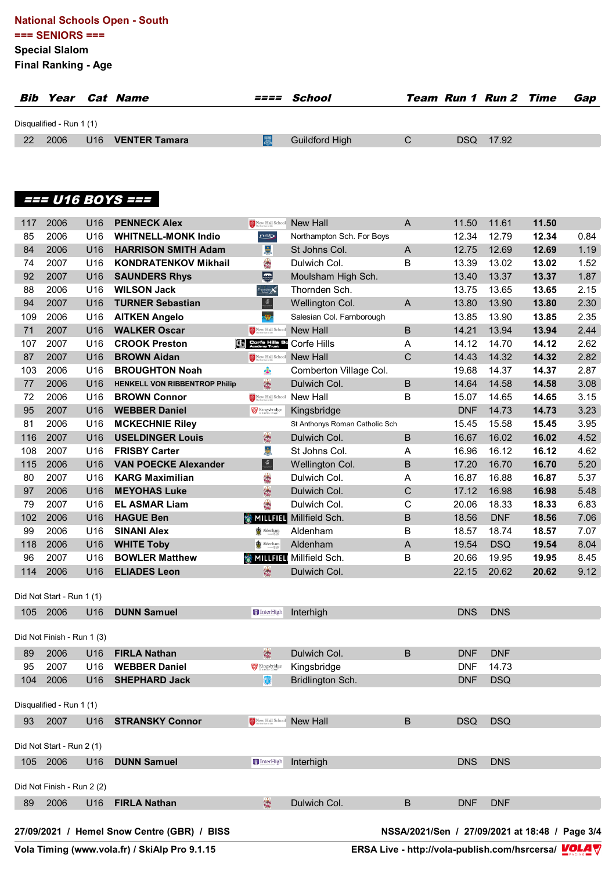#### **National Schools Open - South === SENIORS ===**

**Special Slalom**

**Final Ranking - Age**

| Bib |                          |     | <i>Year Cat Name</i> | ==== School           |      | <b>Team Run 1 Run 2 Time</b> | Gap |
|-----|--------------------------|-----|----------------------|-----------------------|------|------------------------------|-----|
|     | Disqualified - Run 1 (1) |     |                      |                       |      |                              |     |
| -22 | 2006                     | U16 | <b>VENTER Tamara</b> | <b>Guildford High</b> | DSQ. | 17.92                        |     |

# **=== U16 BOYS ===**

| 117 | 2006                       | U <sub>16</sub> | <b>PENNECK Alex</b>                         | New Hall School                                                                                          | <b>New Hall</b>                | A                                              | 11.50      | 11.61      | 11.50 |      |
|-----|----------------------------|-----------------|---------------------------------------------|----------------------------------------------------------------------------------------------------------|--------------------------------|------------------------------------------------|------------|------------|-------|------|
| 85  | 2006                       | U16             | <b>WHITNELL-MONK Indio</b>                  | <u>nsb</u>                                                                                               | Northampton Sch. For Boys      |                                                | 12.34      | 12.79      | 12.34 | 0.84 |
| 84  | 2006                       | U16             | <b>HARRISON SMITH Adam</b>                  | Ś                                                                                                        | St Johns Col.                  | $\mathsf{A}$                                   | 12.75      | 12.69      | 12.69 | 1.19 |
| 74  | 2007                       | U16             | <b>KONDRATENKOV Mikhail</b>                 | $\frac{1}{2}$                                                                                            | Dulwich Col.                   | B                                              | 13.39      | 13.02      | 13.02 | 1.52 |
| 92  | 2007                       | U16             | <b>SAUNDERS Rhys</b>                        | 耍                                                                                                        | Moulsham High Sch.             |                                                | 13.40      | 13.37      | 13.37 | 1.87 |
| 88  | 2006                       | U16             | <b>WILSON Jack</b>                          | Thornden                                                                                                 | Thornden Sch.                  |                                                | 13.75      | 13.65      | 13.65 | 2.15 |
| 94  | 2007                       | U16             | <b>TURNER Sebastian</b>                     | $\frac{\delta \overline{z}}{\delta \overline{z}}$                                                        | Wellington Col.                | A                                              | 13.80      | 13.90      | 13.80 | 2.30 |
| 109 | 2006                       | U16             | <b>AITKEN Angelo</b>                        | -92                                                                                                      | Salesian Col. Farnborough      |                                                | 13.85      | 13.90      | 13.85 | 2.35 |
| 71  | 2007                       | U16             | <b>WALKER Oscar</b>                         | $\begin{tabular}{ c c c c } \hline & New Hall School\\ \hline The best Section 1.6 \hline \end{tabular}$ | New Hall                       | $\sf B$                                        | 14.21      | 13.94      | 13.94 | 2.44 |
| 107 | 2007                       | U16             | <b>CROOK Preston</b>                        | Corfe Hills So                                                                                           | Corfe Hills                    | Α                                              | 14.12      | 14.70      | 14.12 | 2.62 |
| 87  | 2007                       | U16             | <b>BROWN Aidan</b>                          | New Hall School                                                                                          | New Hall                       | $\mathsf{C}$                                   | 14.43      | 14.32      | 14.32 | 2.82 |
| 103 | 2006                       | U16             | <b>BROUGHTON Noah</b>                       | $\cdot$                                                                                                  | Comberton Village Col.         |                                                | 19.68      | 14.37      | 14.37 | 2.87 |
| 77  | 2006                       | U16             | <b>HENKELL VON RIBBENTROP Philip</b>        | 傷                                                                                                        | Dulwich Col.                   | B                                              | 14.64      | 14.58      | 14.58 | 3.08 |
| 72  | 2006                       | U16             | <b>BROWN Connor</b>                         | New Hall School                                                                                          | New Hall                       | B                                              | 15.07      | 14.65      | 14.65 | 3.15 |
| 95  | 2007                       | U16             | <b>WEBBER Daniel</b>                        | Kingsbridge                                                                                              | Kingsbridge                    |                                                | <b>DNF</b> | 14.73      | 14.73 | 3.23 |
| 81  | 2006                       | U16             | <b>MCKECHNIE Riley</b>                      |                                                                                                          | St Anthonys Roman Catholic Sch |                                                | 15.45      | 15.58      | 15.45 | 3.95 |
| 116 | 2007                       | U16             | <b>USELDINGER Louis</b>                     | 编                                                                                                        | Dulwich Col.                   | B                                              | 16.67      | 16.02      | 16.02 | 4.52 |
| 108 | 2007                       | U16             | <b>FRISBY Carter</b>                        | $\frac{1}{32}$                                                                                           | St Johns Col.                  | A                                              | 16.96      | 16.12      | 16.12 | 4.62 |
| 115 | 2006                       | U16             | <b>VAN POECKE Alexander</b>                 | $\frac{\delta}{\delta t}$                                                                                | Wellington Col.                | B                                              | 17.20      | 16.70      | 16.70 | 5.20 |
| 80  | 2007                       | U16             | <b>KARG Maximilian</b>                      |                                                                                                          | Dulwich Col.                   | Α                                              | 16.87      | 16.88      | 16.87 | 5.37 |
| 97  | 2006                       | U16             | <b>MEYOHAS Luke</b>                         | 傷                                                                                                        | Dulwich Col.                   | $\mathsf C$                                    | 17.12      | 16.98      | 16.98 | 5.48 |
| 79  | 2007                       | U16             | <b>EL ASMAR Liam</b>                        | $\frac{1}{2}$                                                                                            | Dulwich Col.                   | $\mathsf{C}$                                   | 20.06      | 18.33      | 18.33 | 6.83 |
| 102 | 2006                       | U16             | <b>HAGUE Ben</b>                            | <b>豢 MILLFIEL</b>                                                                                        | Millfield Sch.                 | B                                              | 18.56      | <b>DNF</b> | 18.56 | 7.06 |
| 99  | 2006                       | U16             | <b>SINANI Alex</b>                          | Aldenham                                                                                                 | Aldenham                       | B                                              | 18.57      | 18.74      | 18.57 | 7.07 |
| 118 | 2006                       | U16             | <b>WHITE Toby</b>                           | Aldenham                                                                                                 | Aldenham                       | A                                              | 19.54      | <b>DSQ</b> | 19.54 | 8.04 |
| 96  | 2007                       | U <sub>16</sub> | <b>BOWLER Matthew</b>                       |                                                                                                          | <b>MILLFIEL</b> Millfield Sch. | В                                              | 20.66      | 19.95      | 19.95 | 8.45 |
| 114 | 2006                       | U16             | <b>ELIADES Leon</b>                         | 傷                                                                                                        | Dulwich Col.                   |                                                | 22.15      | 20.62      | 20.62 | 9.12 |
|     |                            |                 |                                             |                                                                                                          |                                |                                                |            |            |       |      |
|     | Did Not Start - Run 1 (1)  |                 |                                             |                                                                                                          |                                |                                                |            |            |       |      |
| 105 | 2006                       | U <sub>16</sub> | <b>DUNN Samuel</b>                          | InterHigh                                                                                                | Interhigh                      |                                                | <b>DNS</b> | <b>DNS</b> |       |      |
|     | Did Not Finish - Run 1 (3) |                 |                                             |                                                                                                          |                                |                                                |            |            |       |      |
| 89  | 2006                       | U <sub>16</sub> | <b>FIRLA Nathan</b>                         | 傷                                                                                                        | Dulwich Col.                   | B                                              | <b>DNF</b> | <b>DNF</b> |       |      |
| 95  | 2007                       | U16             | <b>WEBBER Daniel</b>                        | Kingsbridge                                                                                              | Kingsbridge                    |                                                | <b>DNF</b> | 14.73      |       |      |
|     | 104 2006                   |                 | U16 SHEPHARD Jack                           | <b>BB</b>                                                                                                | Bridlington Sch.               |                                                | <b>DNF</b> | <b>DSQ</b> |       |      |
|     | Disqualified - Run 1 (1)   |                 |                                             |                                                                                                          |                                |                                                |            |            |       |      |
| 93  | 2007                       | U16             | <b>STRANSKY Connor</b>                      |                                                                                                          |                                | B                                              | <b>DSQ</b> | <b>DSQ</b> |       |      |
|     |                            |                 |                                             | <b>Explorer Hall School New Hall</b>                                                                     |                                |                                                |            |            |       |      |
|     | Did Not Start - Run 2 (1)  |                 |                                             |                                                                                                          |                                |                                                |            |            |       |      |
|     | 105 2006                   | U16             | <b>DUNN Samuel</b>                          | H InterHigh                                                                                              | Interhigh                      |                                                | <b>DNS</b> | <b>DNS</b> |       |      |
|     | Did Not Finish - Run 2 (2) |                 |                                             |                                                                                                          |                                |                                                |            |            |       |      |
| 89  | 2006                       |                 | U16 FIRLA Nathan                            | 像                                                                                                        | Dulwich Col.                   | B                                              | <b>DNF</b> | <b>DNF</b> |       |      |
|     |                            |                 |                                             |                                                                                                          |                                |                                                |            |            |       |      |
|     |                            |                 | 27/09/2021 / Hemel Snow Centre (GBR) / BISS |                                                                                                          |                                | NSSA/2021/Sen / 27/09/2021 at 18:48 / Page 3/4 |            |            |       |      |

**Vola Timing (www.vola.fr) / SkiAlp Pro 9.1.15 ERSA Live - http://vola-publish.com/hsrcersa/**